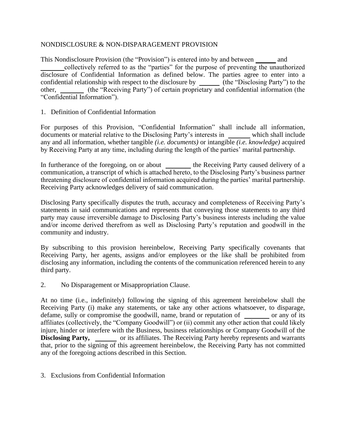#### NONDISCLOSURE & NON-DISPARAGEMENT PROVISION

This Nondisclosure Provision (the "Provision") is entered into by and between andcollectively referred to as the "parties" for the purpose of preventing the unauthorized disclosure of Confidential Information as defined below. The parties agree to enter into a confidential relationship with respect to the disclosure by \_\_\_\_\_\_ (the "Disclosing Party") to the other, \_\_\_\_\_\_ (the "Receiving Party") of certain proprietary and confidential information (the "Confidential Information").

#### 1. Definition of Confidential Information

For purposes of this Provision, "Confidential Information" shall include all information, documents or material relative to the Disclosing Party's interests in which shall include any and all information, whether tangible *(i.e. documents)* or intangible *(i.e. knowledge)* acquired by Receiving Party at any time, including during the length of the parties' marital partnership.

In furtherance of the foregoing, on or about \_\_\_\_\_\_\_\_ the Receiving Party caused delivery of a communication, a transcript of which is attached hereto, to the Disclosing Party's business partner threatening disclosure of confidential information acquired during the parties' marital partnership. Receiving Party acknowledges delivery of said communication.

Disclosing Party specifically disputes the truth, accuracy and completeness of Receiving Party's statements in said communications and represents that conveying those statements to any third party may cause irreversible damage to Disclosing Party's business interests including the value and/or income derived therefrom as well as Disclosing Party's reputation and goodwill in the community and industry.

By subscribing to this provision hereinbelow, Receiving Party specifically covenants that Receiving Party, her agents, assigns and/or employees or the like shall be prohibited from disclosing any information, including the contents of the communication referenced herein to any third party.

2. No Disparagement or Misappropriation Clause.

At no time (i.e., indefinitely) following the signing of this agreement hereinbelow shall the Receiving Party (i) make any statements, or take any other actions whatsoever, to disparage, defame, sully or compromise the goodwill, name, brand or reputation of or any of its affiliates (collectively, the "Company Goodwill") or (ii) commit any other action that could likely injure, hinder or interfere with the Business, business relationships or Company Goodwill of the **Disclosing Party,** or its affiliates. The Receiving Party hereby represents and warrants that, prior to the signing of this agreement hereinbelow, the Receiving Party has not committed any of the foregoing actions described in this Section.

3. Exclusions from Confidential Information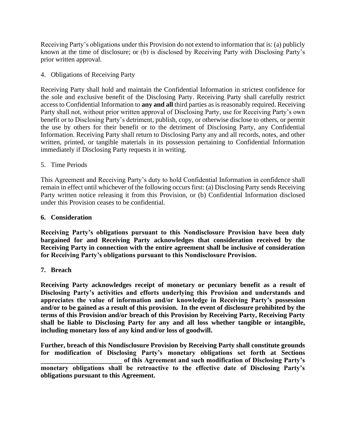Receiving Party's obligations under this Provision do not extend to information that is: (a) publicly known at the time of disclosure; or (b) is disclosed by Receiving Party with Disclosing Party's prior written approval.

4. Obligations of Receiving Party

Receiving Party shall hold and maintain the Confidential Information in strictest confidence for the sole and exclusive benefit of the Disclosing Party. Receiving Party shall carefully restrict access to Confidential Information to **any and all** third parties as is reasonably required. Receiving Party shall not, without prior written approval of Disclosing Party, use for Receiving Party's own benefit or to Disclosing Party's detriment, publish, copy, or otherwise disclose to others, or permit the use by others for their benefit or to the detriment of Disclosing Party, any Confidential Information. Receiving Party shall return to Disclosing Party any and all records, notes, and other written, printed, or tangible materials in its possession pertaining to Confidential Information immediately if Disclosing Party requests it in writing.

5. Time Periods

This Agreement and Receiving Party's duty to hold Confidential Information in confidence shall remain in effect until whichever of the following occurs first: (a) Disclosing Party sends Receiving Party written notice releasing it from this Provision, or (b) Confidential Information disclosed under this Provision ceases to be confidential.

# **6. Consideration**

**Receiving Party's obligations pursuant to this Nondisclosure Provision have been duly bargained for and Receiving Party acknowledges that consideration received by the Receiving Party in connection with the entire agreement shall be inclusive of consideration for Receiving Party's obligations pursuant to this Nondisclosure Provision.**

# **7. Breach**

**Receiving Party acknowledges receipt of monetary or pecuniary benefit as a result of Disclosing Party's activities and efforts underlying this Provision and understands and appreciates the value of information and/or knowledge in Receiving Party's possession and/or to be gained as a result of this provision. In the event of disclosure prohibited by the terms of this Provision and/or breach of this Provision by Receiving Party, Receiving Party shall be liable to Disclosing Party for any and all loss whether tangible or intangible, including monetary loss of any kind and/or loss of goodwill.** 

**Further, breach of this Nondisclosure Provision by Receiving Party shall constitute grounds for modification of Disclosing Party's monetary obligations set forth at Sections \_\_\_\_\_\_\_\_\_\_\_\_\_\_\_\_\_\_\_\_\_\_\_\_ of this Agreement and such modification of Disclosing Party's monetary obligations shall be retroactive to the effective date of Disclosing Party's obligations pursuant to this Agreement.**